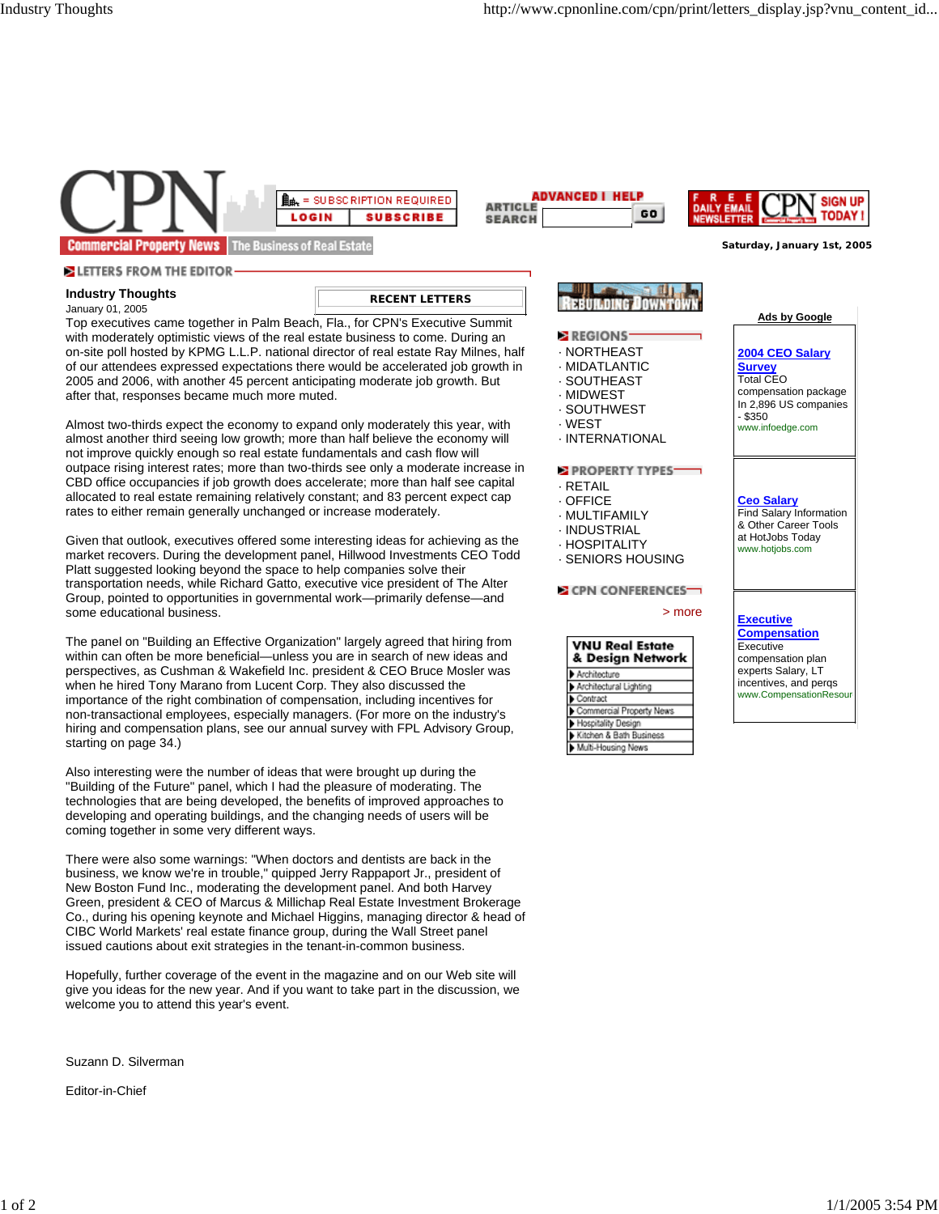

Suzann D. Silverman

Editor-in-Chief